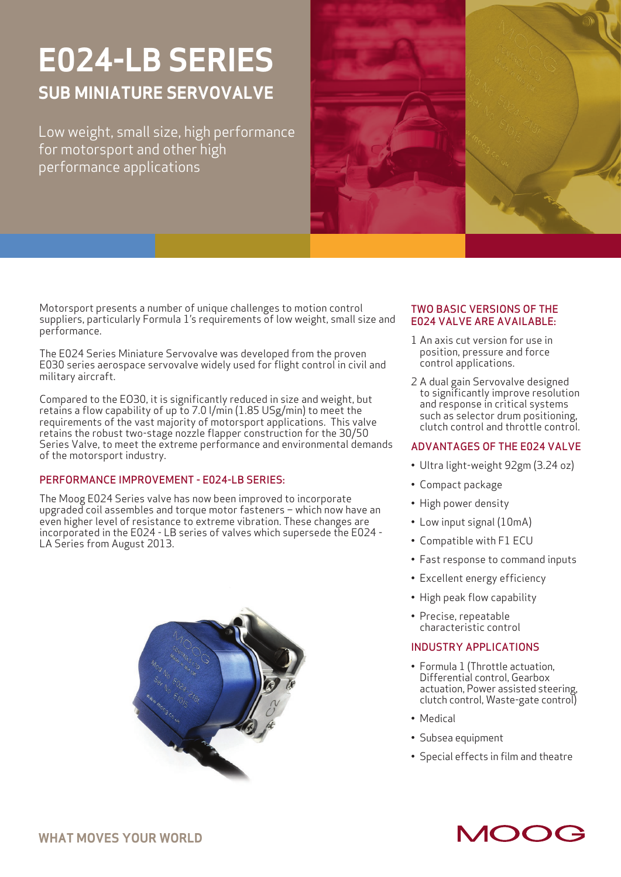# **E024-LB SERIES SUB MINIATURE SERVOVALVE**

Low weight, small size, high performance for motorsport and other high performance applications



Motorsport presents a number of unique challenges to motion control suppliers, particularly Formula 1's requirements of low weight, small size and performance.

The E024 Series Miniature Servovalve was developed from the proven E030 series aerospace servovalve widely used for flight control in civil and military aircraft.

Compared to the EO30, it is significantly reduced in size and weight, but retains a flow capability of up to 7.0 l/min (1.85 USg/min) to meet the requirements of the vast majority of motorsport applications. This valve retains the robust two-stage nozzle flapper construction for the 30/50 Series Valve, to meet the extreme performance and environmental demands of the motorsport industry.

### PERFORMANCE IMPROVEMENT - E024-LB SERIES:

The Moog E024 Series valve has now been improved to incorporate upgraded coil assembles and torque motor fasteners – which now have an even higher level of resistance to extreme vibration. These changes are incorporated in the E024 - LB series of valves which supersede the E024 - LA Series from August 2013.



#### TWO BASIC VERSIONS OF THE E024 VALVE ARE AVAILABLE:

- 1 An axis cut version for use in position, pressure and force control applications.
- 2 A dual gain Servovalve designed to significantly improve resolution and response in critical systems such as selector drum positioning, clutch control and throttle control.

### ADVANTAGES OF THE E024 VALVE

- Ultra light-weight 92gm (3.24 oz)
- Compact package
- High power density
- Low input signal (10mA)
- Compatible with F1 ECU
- Fast response to command inputs
- Excellent energy efficiency
- High peak flow capability
- Precise, repeatable characteristic control

### INDUSTRY APPLICATIONS

- Formula 1 (Throttle actuation, Differential control, Gearbox actuation, Power assisted steering, clutch control, Waste-gate control)
- Medical
- Subsea equipment
- Special effects in film and theatre